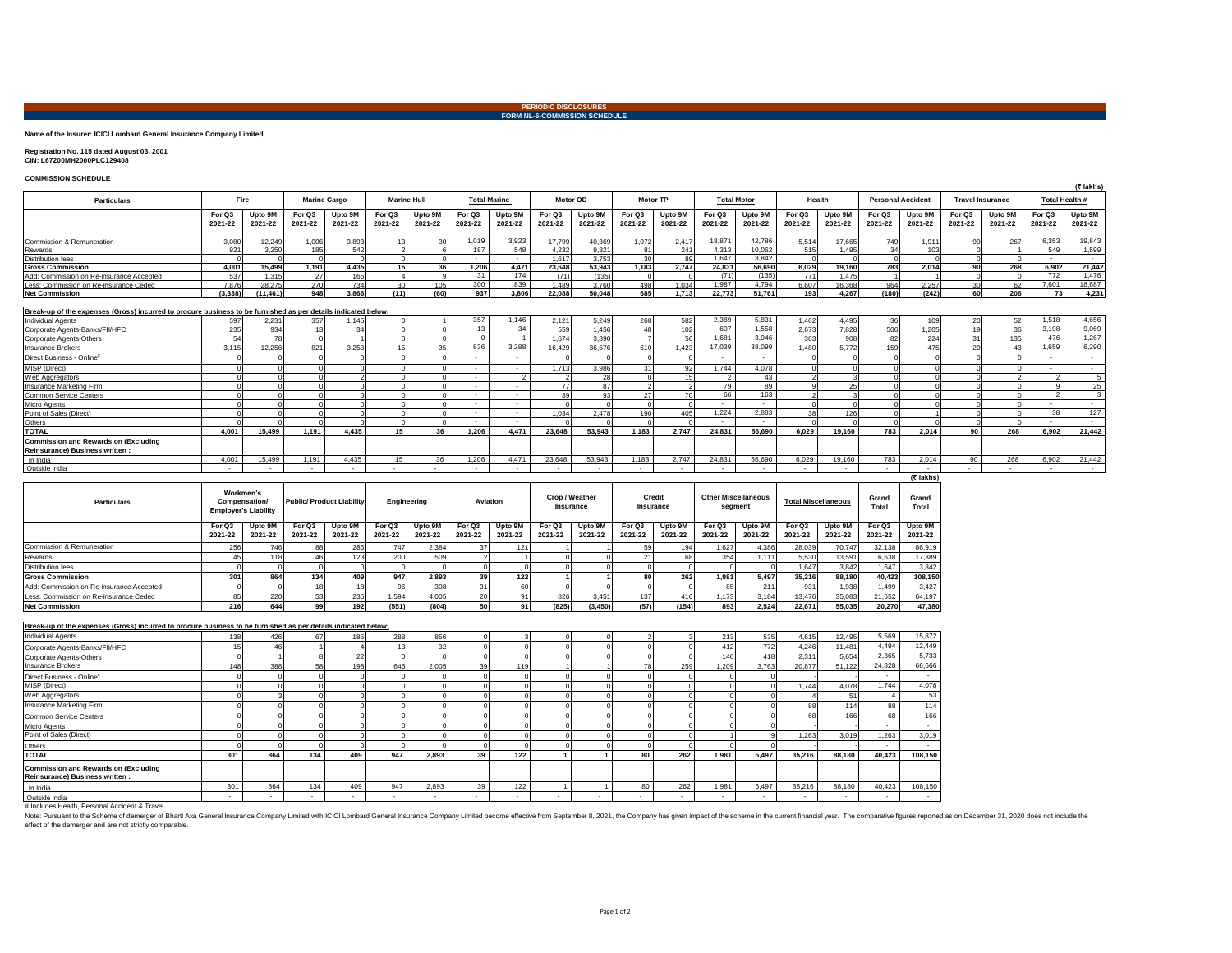# **PERIODIC DISCLOSURES FORM NL-6-COMMISSION SCHEDULE**

#### **Name of the Insurer: ICICI Lombard General Insurance Company Limited**

## **Registration No. 115 dated August 03, 2001 CIN: L67200MH2000PLC129408**

### **COMMISSION SCHEDULE**

|                                                                                                               |                   |                    |                   |                     |                          |                    |                          |                    |                   |                    |                   |                          |                   |                    |                   |                    |                          |                    |                   |                         |                          | (₹ lakhs           |
|---------------------------------------------------------------------------------------------------------------|-------------------|--------------------|-------------------|---------------------|--------------------------|--------------------|--------------------------|--------------------|-------------------|--------------------|-------------------|--------------------------|-------------------|--------------------|-------------------|--------------------|--------------------------|--------------------|-------------------|-------------------------|--------------------------|--------------------|
| <b>Particulars</b>                                                                                            | Fire              |                    |                   | <b>Marine Cargo</b> | <b>Marine Hull</b>       |                    | <b>Total Marine</b>      |                    | <b>Motor OD</b>   |                    | <b>Motor TP</b>   |                          |                   | <b>Total Motor</b> | Health            |                    | <b>Personal Accident</b> |                    |                   | <b>Travel Insurance</b> | Total Health #           |                    |
|                                                                                                               | For Q3<br>2021-22 | Upto 9M<br>2021-22 | For Q3<br>2021-22 | Upto 9M<br>2021-22  | For Q3<br>2021-22        | Upto 9M<br>2021-22 | For Q3<br>2021-22        | Upto 9M<br>2021-22 | For Q3<br>2021-22 | Upto 9M<br>2021-22 | For Q3<br>2021-22 | Upto 9M<br>2021-22       | For Q3<br>2021-22 | Upto 9M<br>2021-22 | For Q3<br>2021-22 | Upto 9M<br>2021-22 | For Q3<br>2021-22        | Upto 9M<br>2021-22 | For Q3<br>2021-22 | Upto 9M<br>2021-22      | For Q3<br>2021-22        | Upto 9M<br>2021-22 |
| Commission & Remuneration                                                                                     | 3.080             | 12.249             | 1.006             | 3.893               | 13 <sup>1</sup>          | 30 <sup>1</sup>    | 1.019                    | 3.923              | 17.799            | 40.369             | 1.072             | 2.417                    | 18,871            | 42.786             | 5.514             | 17.665             | 749                      | 1.911              | Q <sub>0</sub>    | 267                     | 6.353                    | 19,843             |
| Rewards                                                                                                       | 921               | 3.250              | 185               | 542                 | $\overline{\phantom{a}}$ | 6                  | 187                      | 548                | 4.232             | 9.821              | 81                | 241                      | 4,313             | 10.062             | 515               | 1.495              | 34                       | 103                |                   |                         | 549                      | 1,599              |
| <b>Distribution fees</b>                                                                                      |                   |                    |                   |                     |                          |                    | $\sim$                   | $\sim$             | 1.617             | 3.753              | 30                | 89                       | 1.647             | 3.842              |                   |                    |                          |                    |                   |                         | $\sim$                   | $\sim$             |
| <b>Gross Commission</b>                                                                                       | 4,001             | 15,499             | 1.191             | 4,435               | 15                       | 36                 | 1,206                    | 4.471              | 23.648            | 53,943             | 1,183             | 2,747                    | 24,831            | 56.690             | 6,029             | 19.160             | 783                      | 2.014              | 90                | 268                     | 6,902                    | 21,442             |
| Add: Commission on Re-insurance Accepted                                                                      | 537               | 1.315              | 27                | 165                 |                          | $\Omega$           | 31                       | 174                | (71)              | (135)              |                   |                          | (71)              | (135)              | 771               | 1.475              |                          |                    |                   |                         | 772                      | 1,476              |
| Less: Commission on Re-insurance Ceded                                                                        | 7,876             | 28.275             | 270               | 734                 | 30                       | 105                | 300                      | 839                | 1.489             | 3.760              | 498               | 1.034                    | 1,987             | 4.794              | 6.607             | 16.368             | 964                      | 2.257              | 30                | 62                      | 7,601                    | 18,687             |
| <b>Net Commission</b>                                                                                         | (3, 338)          | (11, 461)          | 948               | 3.866               | (11)                     | (60)               | 937                      | 3,806              | 22.088            | 50.048             | 685               | 1.713                    | 22.773            | 51.761             | 193               | 4.267              | (180)                    | (242)              | 60                | 206                     | 73                       | 4,231              |
| Break-up of the expenses (Gross) incurred to procure business to be furnished as per details indicated below: |                   |                    |                   |                     |                          |                    |                          |                    |                   |                    |                   |                          |                   |                    |                   |                    |                          |                    |                   |                         |                          |                    |
| <b>Individual Agents</b>                                                                                      | 597               | 2.231              | 357               | 1.145               |                          |                    | 357                      | 1,146              | 2.121             | 5.249              | 268               | 582                      | 2,389             | 5,831              | 1.462             | 4.495              | 36                       | 109                | 20                | 52                      | 1,518                    | 4,656              |
| Corporate Agents-Banks/FII/HFC                                                                                | 235               | 934                | 13                | 34                  |                          |                    | 13                       | 34                 | 559               | 1.456              | 48                | 102                      | 607               | 1.558              | 2.673             | 7.828              | 506                      | 1,205              | 19                | 36                      | 3.198                    | 9,069              |
| Corporate Agents-Others                                                                                       | 54                | 78                 |                   |                     |                          | $\Omega$           |                          |                    | 1.674             | 3.890              |                   | 56                       | 1.681             | 3.946              | 363               | 908                | 82                       | 224                | 31                | 135                     | 476                      | 1,267              |
| Insurance Brokers                                                                                             | 3.115             | 12.256             | 821               | 3.253               | 15                       | 35                 | 836                      | 3.288              | 16,429            | 36,676             | 610               | 1.423                    | 17.039            | 38,099             | 1.480             | 5.772              | 159                      | 475                | 20 <sup>1</sup>   | 43                      | 1.659                    | 6,290              |
| Direct Business - Online®                                                                                     |                   |                    |                   |                     |                          |                    | ۰                        | ٠                  |                   |                    |                   |                          | $\sim$            |                    |                   |                    |                          |                    |                   |                         |                          | $\sim$             |
| MISP (Direct)                                                                                                 |                   |                    |                   |                     |                          |                    | $\sim$                   | $\sim$             | 1.713             | 3.986              | 31                | 92                       | 1,744             | 4,078              |                   |                    |                          |                    |                   |                         | $\sim$                   | $\sim$             |
| Web Aggregators                                                                                               |                   |                    |                   |                     |                          | $\sim$             | $\sim$                   | $\overline{2}$     |                   | 28                 |                   | 15                       | $\mathcal{L}$     | 43                 | $\mathcal{P}$     |                    |                          |                    |                   |                         | $\overline{2}$           | 5                  |
| Insurance Marketing Firm                                                                                      |                   |                    |                   |                     |                          |                    | $\sim$                   | $\sim$             | 77                | 87                 |                   |                          | 79                | 89                 |                   | 25                 |                          |                    |                   |                         | $\mathbf{q}$             | 25                 |
| Common Service Centers                                                                                        |                   |                    |                   |                     |                          |                    | $\sim$                   | ٠                  | 39                | 93                 | 27                | 70                       | 66                | 163                |                   |                    |                          |                    |                   |                         | $\overline{2}$           | 3                  |
| <b>Micro Agents</b>                                                                                           |                   |                    |                   |                     |                          |                    | $\sim$                   | $\sim$             |                   |                    |                   |                          | $\sim$            | $\sim$             |                   |                    |                          |                    |                   |                         | $\sim$                   | $\sim$             |
| Point of Sales (Direct)                                                                                       |                   |                    |                   |                     |                          | $\sim$             | $\sim$                   | $\sim$             | 1.034             | 2.478              | 190               | 405                      | 1.224             | 2.883              | 38                | 126                |                          |                    |                   |                         | 38                       | 127                |
| Others                                                                                                        |                   |                    |                   |                     |                          |                    | $\sim$                   | $\sim$             |                   |                    |                   |                          | $\sim$            | $\sim$             |                   |                    |                          |                    |                   |                         | $\sim$                   | $\overline{a}$     |
| <b>TOTAL</b>                                                                                                  | 4.001             | 15.499             | 1.191             | 4.435               | 15                       | 36                 | 1.206                    | 4.471              | 23.648            | 53.943             | 1.183             | 2.747                    | 24.831            | 56,690             | 6.029             | 19.160             | 783                      | 2.014              | 90                | 268                     | 6.902                    | 21,442             |
| <b>Commission and Rewards on (Excluding</b><br>Reinsurance) Business written :                                |                   |                    |                   |                     |                          |                    |                          |                    |                   |                    |                   |                          |                   |                    |                   |                    |                          |                    |                   |                         |                          |                    |
| In India                                                                                                      | 4.001             | 15.499             | 1.191             | 4.435               | 15                       | 36                 | 1.206                    | 4,471              | 23.648            | 53.943             | 1.183             | 2.747                    | 24.831            | 56,690             | 6.029             | 19.160             | 783                      | 2.014              | 90                | 268                     | 6.902                    | 21,442             |
| Outside India                                                                                                 | $\sim$            | $\sim$             | $\sim$            | $\sim$              |                          |                    | $\overline{\phantom{a}}$ | $\sim$             |                   | $\sim$             |                   | $\overline{\phantom{a}}$ | $\sim$            | $\sim$             | $\sim$            | $\sim$             |                          |                    | $\sim$            |                         | $\overline{\phantom{a}}$ | $\sim$             |
|                                                                                                               |                   |                    |                   |                     |                          |                    |                          |                    |                   |                    |                   |                          |                   |                    |                   |                    |                          | (₹ lakhs)          |                   |                         |                          |                    |

| <b>Particulars</b>                       | Workmen's<br>Compensation/<br><b>Employer's Liability</b> |                 |         |         | <b>Public/Product Liability</b> |         | Engineering |         | Aviation |         | Crop / Weather<br>Insurance |         | Credit<br>Insurance |         | <b>Other Miscellaneous</b><br>segment |         | <b>Total Miscellaneous</b> |         | Grand<br>Total | Grand<br>Total |
|------------------------------------------|-----------------------------------------------------------|-----------------|---------|---------|---------------------------------|---------|-------------|---------|----------|---------|-----------------------------|---------|---------------------|---------|---------------------------------------|---------|----------------------------|---------|----------------|----------------|
|                                          | For Q3                                                    | Upto 9M         | For Q3  | Upto 9M | For Q3                          | Upto 9M | For Q3      | Upto 9M | For Q3   | Upto 9M | For Q3                      | Upto 9M | For Q3              | Upto 9M | For Q3                                | Upto 9M | For Q3                     | Upto 9M |                |                |
|                                          | 2021-22                                                   | 2021-22         | 2021-22 | 2021-22 | 2021-22                         | 2021-22 | 2021-22     | 2021-22 | 2021-22  | 2021-22 | 2021-22                     | 2021-22 | 2021-22             | 2021-22 | 2021-22                               | 2021-22 | 2021-22                    | 2021-22 |                |                |
| Commission & Remuneration                | 256                                                       | 746             |         | 286     | 747                             | 2.384   |             | 12'     |          |         |                             |         | .627                | 4.386   | 28.039                                | 70.747  | 32.138                     | 86,919  |                |                |
| Rewards                                  |                                                           | 11 <sub>b</sub> |         | 123     | 200                             | 509     |             |         |          |         |                             |         | 354                 | 1.111   | 5.530                                 | 13.591  | 6.638                      | 17,389  |                |                |
| Distribution fees                        |                                                           |                 |         |         |                                 |         |             |         |          |         |                             |         |                     |         | 1.647                                 | 3.842   | 1.647                      | 3,842   |                |                |
| <b>Gross Commission</b>                  | 301                                                       | 864             | 134     | 409     | 947                             | 2.893   |             | 122     |          |         | 80                          | 262     | 1.981               | 5.497   | 35.216                                | 88.180  | 40.423                     | 108.150 |                |                |
| Add: Commission on Re-insurance Accepted |                                                           |                 |         |         |                                 | 308     |             |         |          |         |                             |         | 85                  | 211     | 931                                   | 1.938   | 1.499                      | 3.427   |                |                |
| Less: Commission on Re-insurance Ceded   | 85.                                                       | 220             |         | 235     | 1,594                           | 4.005   |             |         | 826      | 3.451   | 137                         | 416     | 1.173               | 3,184   | 13.476                                | 35.083  | 21,652                     | 64,197  |                |                |
| <b>Net Commission</b>                    | 216                                                       | 644             |         | 192     | (551)                           | (804)   |             | 91      | (825)    | (3.450) | (57)                        | (154)   | 893                 | 2.524   | 22.671                                | 55.035  | 20.270                     | 47.380  |                |                |

#### **Break-up of the expenses (Gross) incurred to procure business to be furnished as per details indicated below:**

| <b>Individual Agents</b>                    | 138 | 426    | 67     | 185 | 288    | 856    |     |     |        |        |                          | 213   | 535   | 4,615  | 12.495 | 5,569  | 15,872  |
|---------------------------------------------|-----|--------|--------|-----|--------|--------|-----|-----|--------|--------|--------------------------|-------|-------|--------|--------|--------|---------|
| Corporate Agents-Banks/FII/HFC              |     | 41     |        |     |        | 32     |     |     |        |        |                          | 412   | 772   | 4.246  | 11.481 | 4.494  | 12,449  |
| Corporate Agents-Others                     |     |        |        | 22  |        |        |     |     |        |        |                          | 146   | 418   | 2,311  | 5.654  | 2,365  | 5,733   |
| <b>Insurance Brokers</b>                    | 148 | 388    | 58     | 198 | 646    | 2,005  | 391 | 119 |        |        | 259                      | 1.209 | 3,763 | 20,877 | 51,122 | 24,828 | 66,666  |
| Direct Business - Online <sup>c</sup>       |     |        |        |     |        |        |     |     |        |        |                          |       |       |        |        | $\sim$ | $\sim$  |
| MISP (Direct)                               |     |        |        |     |        |        |     |     |        |        |                          |       |       | 1,744  | 4.078  | 1.744  | 4,078   |
| Web Aggregators                             |     |        |        |     |        |        |     |     |        |        |                          |       |       |        |        |        | 53      |
| Insurance Marketing Firm                    |     |        |        |     |        |        |     |     |        |        |                          |       |       | 88     | 114    | 88     | 114     |
| Common Service Centers                      |     |        |        |     |        |        |     |     |        |        |                          |       |       | 68     | 166    | 68     | 166     |
| Micro Agents                                |     |        |        |     |        |        |     |     |        |        |                          |       |       |        |        |        |         |
| Point of Sales (Direct)                     |     |        |        |     |        |        |     |     |        |        |                          |       |       | 1,263  | 3.019  | 1.263  | 3,019   |
| Others                                      |     |        |        |     |        |        |     |     |        |        |                          |       |       |        |        | $\sim$ |         |
| <b>TOTAL</b>                                | 301 | 864    | 134    | 409 | 947    | 2.893  | 39  | 122 |        | 80     | 262                      | 1.981 | 5.497 | 35,216 | 88.180 | 40,423 | 108,150 |
| <b>Commission and Rewards on (Excluding</b> |     |        |        |     |        |        |     |     |        |        |                          |       |       |        |        |        |         |
| Reinsurance) Business written :             |     |        |        |     |        |        |     |     |        |        |                          |       |       |        |        |        |         |
| In India                                    | 301 | 864    | 134    | 409 | 947    | 2,893  | 39  | 122 |        | 80     | 262                      | 1.981 | 5,497 | 35,216 | 88,180 | 40,423 | 108,150 |
| Outside India                               |     | $\sim$ | $\sim$ |     | $\sim$ | $\sim$ |     |     | $\sim$ | $\sim$ | $\overline{\phantom{a}}$ |       | . .   | $\sim$ |        | $\sim$ |         |

# Includes Health, Personal Accident & Travel

Note: Pursuant to the Scheme of demerger of Bhati Axa General Insurance Company Limited with ICICI Lombard General Insurance Company Limited become effective from September 8, 2021, the Company has given impact of the sche